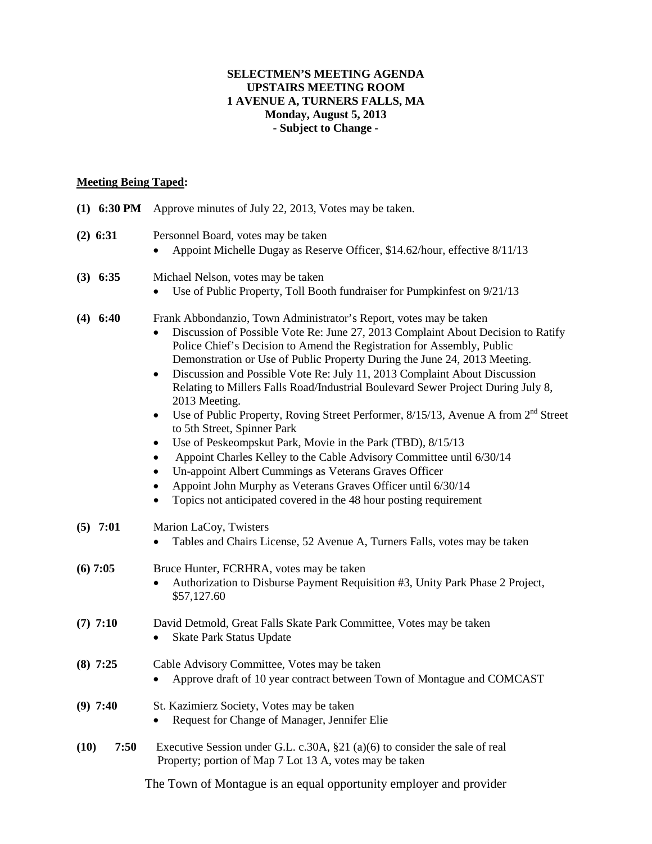## **SELECTMEN'S MEETING AGENDA UPSTAIRS MEETING ROOM 1 AVENUE A, TURNERS FALLS, MA Monday, August 5, 2013 - Subject to Change -**

## **Meeting Being Taped:**

| $(1)$ 6:30 PM | Approve minutes of July 22, 2013, Votes may be taken.                                                                                                                                                                                                                                                                                                                                                                                                                                                                                                                                                                                                                                                                                                                                                                                                                                                                                                                                       |
|---------------|---------------------------------------------------------------------------------------------------------------------------------------------------------------------------------------------------------------------------------------------------------------------------------------------------------------------------------------------------------------------------------------------------------------------------------------------------------------------------------------------------------------------------------------------------------------------------------------------------------------------------------------------------------------------------------------------------------------------------------------------------------------------------------------------------------------------------------------------------------------------------------------------------------------------------------------------------------------------------------------------|
| $(2)$ 6:31    | Personnel Board, votes may be taken<br>Appoint Michelle Dugay as Reserve Officer, \$14.62/hour, effective 8/11/13                                                                                                                                                                                                                                                                                                                                                                                                                                                                                                                                                                                                                                                                                                                                                                                                                                                                           |
| $(3)$ 6:35    | Michael Nelson, votes may be taken<br>Use of Public Property, Toll Booth fundraiser for Pumpkinfest on 9/21/13                                                                                                                                                                                                                                                                                                                                                                                                                                                                                                                                                                                                                                                                                                                                                                                                                                                                              |
| $(4)$ 6:40    | Frank Abbondanzio, Town Administrator's Report, votes may be taken<br>Discussion of Possible Vote Re: June 27, 2013 Complaint About Decision to Ratify<br>Police Chief's Decision to Amend the Registration for Assembly, Public<br>Demonstration or Use of Public Property During the June 24, 2013 Meeting.<br>Discussion and Possible Vote Re: July 11, 2013 Complaint About Discussion<br>٠<br>Relating to Millers Falls Road/Industrial Boulevard Sewer Project During July 8,<br>2013 Meeting.<br>Use of Public Property, Roving Street Performer, 8/15/13, Avenue A from 2 <sup>nd</sup> Street<br>$\bullet$<br>to 5th Street, Spinner Park<br>Use of Peskeompskut Park, Movie in the Park (TBD), 8/15/13<br>٠<br>Appoint Charles Kelley to the Cable Advisory Committee until 6/30/14<br>Un-appoint Albert Cummings as Veterans Graves Officer<br>Appoint John Murphy as Veterans Graves Officer until 6/30/14<br>Topics not anticipated covered in the 48 hour posting requirement |
| $(5)$ 7:01    | Marion LaCoy, Twisters<br>Tables and Chairs License, 52 Avenue A, Turners Falls, votes may be taken                                                                                                                                                                                                                                                                                                                                                                                                                                                                                                                                                                                                                                                                                                                                                                                                                                                                                         |
| $(6)$ 7:05    | Bruce Hunter, FCRHRA, votes may be taken<br>Authorization to Disburse Payment Requisition #3, Unity Park Phase 2 Project,<br>\$57,127.60                                                                                                                                                                                                                                                                                                                                                                                                                                                                                                                                                                                                                                                                                                                                                                                                                                                    |
| $(7)$ 7:10    | David Detmold, Great Falls Skate Park Committee, Votes may be taken<br>Skate Park Status Update<br>٠                                                                                                                                                                                                                                                                                                                                                                                                                                                                                                                                                                                                                                                                                                                                                                                                                                                                                        |
| $(8)$ 7:25    | Cable Advisory Committee, Votes may be taken<br>Approve draft of 10 year contract between Town of Montague and COMCAST                                                                                                                                                                                                                                                                                                                                                                                                                                                                                                                                                                                                                                                                                                                                                                                                                                                                      |
| $(9)$ 7:40    | St. Kazimierz Society, Votes may be taken<br>Request for Change of Manager, Jennifer Elie                                                                                                                                                                                                                                                                                                                                                                                                                                                                                                                                                                                                                                                                                                                                                                                                                                                                                                   |
| (10)<br>7:50  | Executive Session under G.L. c.30A, $\S$ 21 (a)(6) to consider the sale of real<br>Property; portion of Map 7 Lot 13 A, votes may be taken                                                                                                                                                                                                                                                                                                                                                                                                                                                                                                                                                                                                                                                                                                                                                                                                                                                  |
|               | The Town of Montague is an equal opportunity employer and provider                                                                                                                                                                                                                                                                                                                                                                                                                                                                                                                                                                                                                                                                                                                                                                                                                                                                                                                          |